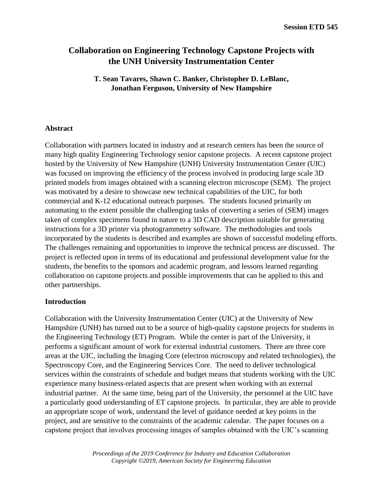# **Collaboration on Engineering Technology Capstone Projects with the UNH University Instrumentation Center**

**T. Sean Tavares, Shawn C. Banker, Christopher D. LeBlanc, Jonathan Ferguson, University of New Hampshire**

# **Abstract**

Collaboration with partners located in industry and at research centers has been the source of many high quality Engineering Technology senior capstone projects. A recent capstone project hosted by the University of New Hampshire (UNH) University Instrumentation Center (UIC) was focused on improving the efficiency of the process involved in producing large scale 3D printed models from images obtained with a scanning electron microscope (SEM). The project was motivated by a desire to showcase new technical capabilities of the UIC, for both commercial and K-12 educational outreach purposes. The students focused primarily on automating to the extent possible the challenging tasks of converting a series of (SEM) images taken of complex specimens found in nature to a 3D CAD description suitable for generating instructions for a 3D printer via photogrammetry software. The methodologies and tools incorporated by the students is described and examples are shown of successful modeling efforts. The challenges remaining and opportunities to improve the technical process are discussed. The project is reflected upon in terms of its educational and professional development value for the students, the benefits to the sponsors and academic program, and lessons learned regarding collaboration on capstone projects and possible improvements that can be applied to this and other partnerships.

# **Introduction**

Collaboration with the University Instrumentation Center (UIC) at the University of New Hampshire (UNH) has turned out to be a source of high-quality capstone projects for students in the Engineering Technology (ET) Program. While the center is part of the University, it performs a significant amount of work for external industrial customers. There are three core areas at the UIC, including the Imaging Core (electron microscopy and related technologies), the Spectroscopy Core, and the Engineering Services Core. The need to deliver technological services within the constraints of schedule and budget means that students working with the UIC experience many business-related aspects that are present when working with an external industrial partner. At the same time, being part of the University, the personnel at the UIC have a particularly good understanding of ET capstone projects. In particular, they are able to provide an appropriate scope of work, understand the level of guidance needed at key points in the project, and are sensitive to the constraints of the academic calendar. The paper focuses on a capstone project that involves processing images of samples obtained with the UIC's scanning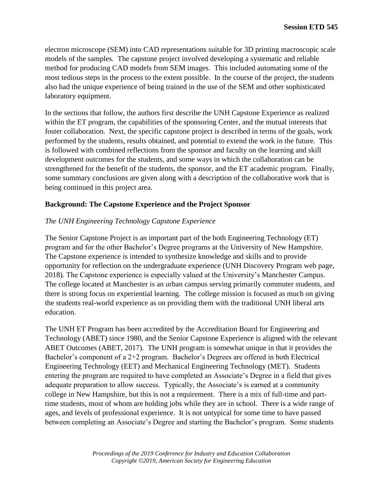electron microscope (SEM) into CAD representations suitable for 3D printing macroscopic scale models of the samples. The capstone project involved developing a systematic and reliable method for producing CAD models from SEM images. This included automating some of the most tedious steps in the process to the extent possible. In the course of the project, the students also had the unique experience of being trained in the use of the SEM and other sophisticated laboratory equipment.

In the sections that follow, the authors first describe the UNH Capstone Experience as realized within the ET program, the capabilities of the sponsoring Center, and the mutual interests that foster collaboration. Next, the specific capstone project is described in terms of the goals, work performed by the students, results obtained, and potential to extend the work in the future. This is followed with combined reflections from the sponsor and faculty on the learning and skill development outcomes for the students, and some ways in which the collaboration can be strengthened for the benefit of the students, the sponsor, and the ET academic program. Finally, some summary conclusions are given along with a description of the collaborative work that is being continued in this project area.

## **Background: The Capstone Experience and the Project Sponsor**

## *The UNH Engineering Technology Capstone Experience*

The Senior Capstone Project is an important part of the both Engineering Technology (ET) program and for the other Bachelor's Degree programs at the University of New Hampshire. The Capstone experience is intended to synthesize knowledge and skills and to provide opportunity for reflection on the undergraduate experience (UNH Discovery Program web page, 2018). The Capstone experience is especially valued at the University's Manchester Campus. The college located at Manchester is an urban campus serving primarily commuter students, and there is strong focus on experiential learning. The college mission is focused as much on giving the students real-world experience as on providing them with the traditional UNH liberal arts education.

The UNH ET Program has been accredited by the Accreditation Board for Engineering and Technology (ABET) since 1980, and the Senior Capstone Experience is aligned with the relevant ABET Outcomes (ABET, 2017). The UNH program is somewhat unique in that it provides the Bachelor's component of a 2+2 program. Bachelor's Degrees are offered in both Electrical Engineering Technology (EET) and Mechanical Engineering Technology (MET). Students entering the program are required to have completed an Associate's Degree in a field that gives adequate preparation to allow success. Typically, the Associate's is earned at a community college in New Hampshire, but this is not a requirement. There is a mix of full-time and parttime students, most of whom are holding jobs while they are in school. There is a wide range of ages, and levels of professional experience. It is not untypical for some time to have passed between completing an Associate's Degree and starting the Bachelor's program. Some students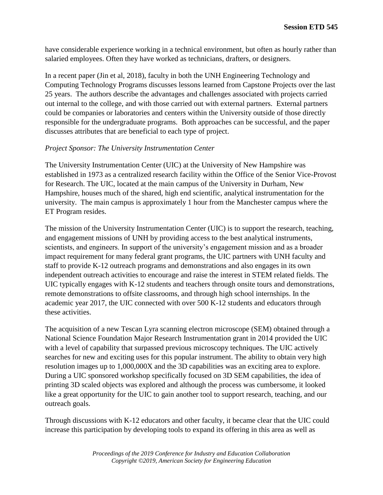have considerable experience working in a technical environment, but often as hourly rather than salaried employees. Often they have worked as technicians, drafters, or designers.

In a recent paper (Jin et al, 2018), faculty in both the UNH Engineering Technology and Computing Technology Programs discusses lessons learned from Capstone Projects over the last 25 years. The authors describe the advantages and challenges associated with projects carried out internal to the college, and with those carried out with external partners. External partners could be companies or laboratories and centers within the University outside of those directly responsible for the undergraduate programs. Both approaches can be successful, and the paper discusses attributes that are beneficial to each type of project.

## *Project Sponsor: The University Instrumentation Center*

The University Instrumentation Center (UIC) at the University of New Hampshire was established in 1973 as a centralized research facility within the Office of the Senior Vice-Provost for Research. The UIC, located at the main campus of the University in Durham, New Hampshire, houses much of the shared, high end scientific, analytical instrumentation for the university. The main campus is approximately 1 hour from the Manchester campus where the ET Program resides.

The mission of the University Instrumentation Center (UIC) is to support the research, teaching, and engagement missions of UNH by providing access to the best analytical instruments, scientists, and engineers. In support of the university's engagement mission and as a broader impact requirement for many federal grant programs, the UIC partners with UNH faculty and staff to provide K-12 outreach programs and demonstrations and also engages in its own independent outreach activities to encourage and raise the interest in STEM related fields. The UIC typically engages with K-12 students and teachers through onsite tours and demonstrations, remote demonstrations to offsite classrooms, and through high school internships. In the academic year 2017, the UIC connected with over 500 K-12 students and educators through these activities.

The acquisition of a new Tescan Lyra scanning electron microscope (SEM) obtained through a National Science Foundation Major Research Instrumentation grant in 2014 provided the UIC with a level of capability that surpassed previous microscopy techniques. The UIC actively searches for new and exciting uses for this popular instrument. The ability to obtain very high resolution images up to 1,000,000X and the 3D capabilities was an exciting area to explore. During a UIC sponsored workshop specifically focused on 3D SEM capabilities, the idea of printing 3D scaled objects was explored and although the process was cumbersome, it looked like a great opportunity for the UIC to gain another tool to support research, teaching, and our outreach goals.

Through discussions with K-12 educators and other faculty, it became clear that the UIC could increase this participation by developing tools to expand its offering in this area as well as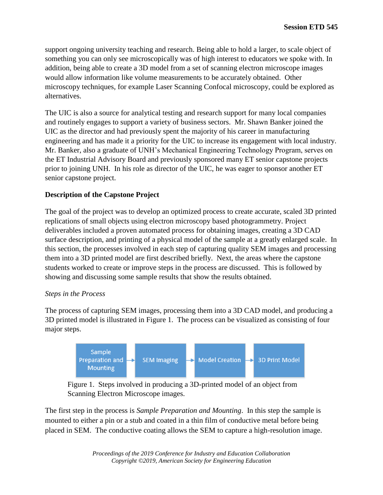support ongoing university teaching and research. Being able to hold a larger, to scale object of something you can only see microscopically was of high interest to educators we spoke with. In addition, being able to create a 3D model from a set of scanning electron microscope images would allow information like volume measurements to be accurately obtained. Other microscopy techniques, for example Laser Scanning Confocal microscopy, could be explored as alternatives.

The UIC is also a source for analytical testing and research support for many local companies and routinely engages to support a variety of business sectors. Mr. Shawn Banker joined the UIC as the director and had previously spent the majority of his career in manufacturing engineering and has made it a priority for the UIC to increase its engagement with local industry. Mr. Banker, also a graduate of UNH's Mechanical Engineering Technology Program, serves on the ET Industrial Advisory Board and previously sponsored many ET senior capstone projects prior to joining UNH. In his role as director of the UIC, he was eager to sponsor another ET senior capstone project.

# **Description of the Capstone Project**

The goal of the project was to develop an optimized process to create accurate, scaled 3D printed replications of small objects using electron microscopy based photogrammetry. Project deliverables included a proven automated process for obtaining images, creating a 3D CAD surface description, and printing of a physical model of the sample at a greatly enlarged scale. In this section, the processes involved in each step of capturing quality SEM images and processing them into a 3D printed model are first described briefly. Next, the areas where the capstone students worked to create or improve steps in the process are discussed. This is followed by showing and discussing some sample results that show the results obtained.

#### *Steps in the Process*

The process of capturing SEM images, processing them into a 3D CAD model, and producing a 3D printed model is illustrated in Figure 1. The process can be visualized as consisting of four major steps.



Figure 1. Steps involved in producing a 3D-printed model of an object from Scanning Electron Microscope images.

The first step in the process is *Sample Preparation and Mounting*. In this step the sample is mounted to either a pin or a stub and coated in a thin film of conductive metal before being placed in SEM. The conductive coating allows the SEM to capture a high-resolution image.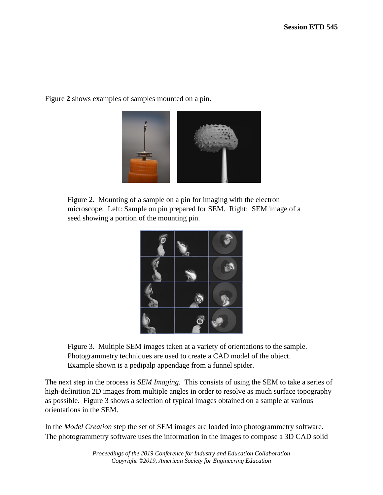Figure **2** shows examples of samples mounted on a pin.



Figure 2. Mounting of a sample on a pin for imaging with the electron microscope. Left: Sample on pin prepared for SEM. Right: SEM image of a seed showing a portion of the mounting pin.



Figure 3. Multiple SEM images taken at a variety of orientations to the sample. Photogrammetry techniques are used to create a CAD model of the object. Example shown is a pedipalp appendage from a funnel spider.

The next step in the process is *SEM Imaging*. This consists of using the SEM to take a series of high-definition 2D images from multiple angles in order to resolve as much surface topography as possible. Figure 3 shows a selection of typical images obtained on a sample at various orientations in the SEM.

In the *Model Creation* step the set of SEM images are loaded into photogrammetry software. The photogrammetry software uses the information in the images to compose a 3D CAD solid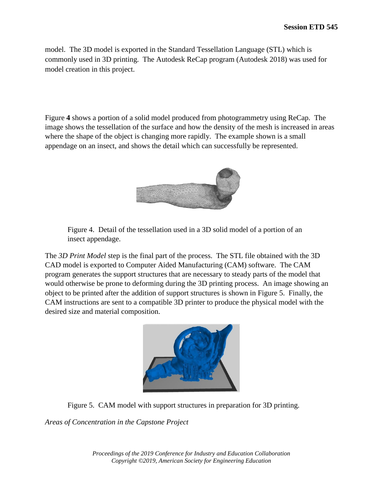model. The 3D model is exported in the Standard Tessellation Language (STL) which is commonly used in 3D printing. The Autodesk ReCap program (Autodesk 2018) was used for model creation in this project.

Figure **4** shows a portion of a solid model produced from photogrammetry using ReCap. The image shows the tessellation of the surface and how the density of the mesh is increased in areas where the shape of the object is changing more rapidly. The example shown is a small appendage on an insect, and shows the detail which can successfully be represented.



Figure 4. Detail of the tessellation used in a 3D solid model of a portion of an insect appendage.

The *3D Print Model* step is the final part of the process. The STL file obtained with the 3D CAD model is exported to Computer Aided Manufacturing (CAM) software. The CAM program generates the support structures that are necessary to steady parts of the model that would otherwise be prone to deforming during the 3D printing process. An image showing an object to be printed after the addition of support structures is shown in Figure 5. Finally, the CAM instructions are sent to a compatible 3D printer to produce the physical model with the desired size and material composition.



Figure 5. CAM model with support structures in preparation for 3D printing.

*Areas of Concentration in the Capstone Project*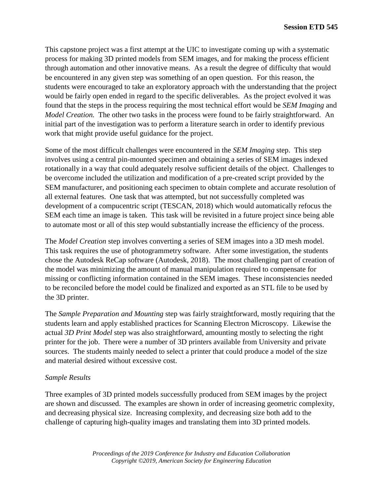This capstone project was a first attempt at the UIC to investigate coming up with a systematic process for making 3D printed models from SEM images, and for making the process efficient through automation and other innovative means. As a result the degree of difficulty that would be encountered in any given step was something of an open question. For this reason, the students were encouraged to take an exploratory approach with the understanding that the project would be fairly open ended in regard to the specific deliverables. As the project evolved it was found that the steps in the process requiring the most technical effort would be *SEM Imaging* and *Model Creation.* The other two tasks in the process were found to be fairly straightforward. An initial part of the investigation was to perform a literature search in order to identify previous work that might provide useful guidance for the project.

Some of the most difficult challenges were encountered in the *SEM Imaging* step. This step involves using a central pin-mounted specimen and obtaining a series of SEM images indexed rotationally in a way that could adequately resolve sufficient details of the object. Challenges to be overcome included the utilization and modification of a pre-created script provided by the SEM manufacturer, and positioning each specimen to obtain complete and accurate resolution of all external features. One task that was attempted, but not successfully completed was development of a compucentric script (TESCAN, 2018) which would automatically refocus the SEM each time an image is taken. This task will be revisited in a future project since being able to automate most or all of this step would substantially increase the efficiency of the process.

The *Model Creation* step involves converting a series of SEM images into a 3D mesh model. This task requires the use of photogrammetry software. After some investigation, the students chose the Autodesk ReCap software (Autodesk, 2018). The most challenging part of creation of the model was minimizing the amount of manual manipulation required to compensate for missing or conflicting information contained in the SEM images. These inconsistencies needed to be reconciled before the model could be finalized and exported as an STL file to be used by the 3D printer.

The *Sample Preparation and Mounting* step was fairly straightforward, mostly requiring that the students learn and apply established practices for Scanning Electron Microscopy. Likewise the actual *3D Print Model* step was also straightforward, amounting mostly to selecting the right printer for the job. There were a number of 3D printers available from University and private sources. The students mainly needed to select a printer that could produce a model of the size and material desired without excessive cost.

#### *Sample Results*

Three examples of 3D printed models successfully produced from SEM images by the project are shown and discussed. The examples are shown in order of increasing geometric complexity, and decreasing physical size. Increasing complexity, and decreasing size both add to the challenge of capturing high-quality images and translating them into 3D printed models.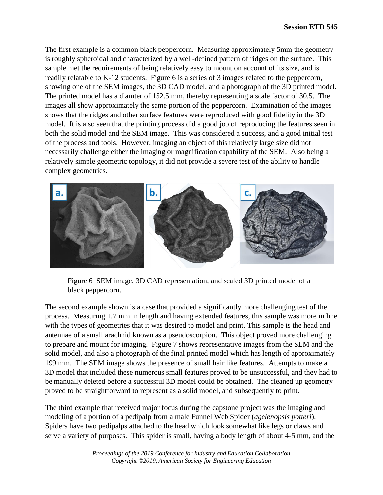The first example is a common black peppercorn. Measuring approximately 5mm the geometry is roughly spheroidal and characterized by a well-defined pattern of ridges on the surface. This sample met the requirements of being relatively easy to mount on account of its size, and is readily relatable to K-12 students. Figure 6 is a series of 3 images related to the peppercorn, showing one of the SEM images, the 3D CAD model, and a photograph of the 3D printed model. The printed model has a diamter of 152.5 mm, thereby representing a scale factor of 30.5. The images all show approximately the same portion of the peppercorn. Examination of the images shows that the ridges and other surface features were reproduced with good fidelity in the 3D model. It is also seen that the printing process did a good job of reproducing the features seen in both the solid model and the SEM image. This was considered a success, and a good initial test of the process and tools. However, imaging an object of this relatively large size did not necessarily challenge either the imaging or magnification capability of the SEM. Also being a relatively simple geometric topology, it did not provide a severe test of the ability to handle complex geometries.



Figure 6 SEM image, 3D CAD representation, and scaled 3D printed model of a black peppercorn.

The second example shown is a case that provided a significantly more challenging test of the process. Measuring 1.7 mm in length and having extended features, this sample was more in line with the types of geometries that it was desired to model and print. This sample is the head and antennae of a small arachnid known as a pseudoscorpion. This object proved more challenging to prepare and mount for imaging. Figure 7 shows representative images from the SEM and the solid model, and also a photograph of the final printed model which has length of approximately 199 mm. The SEM image shows the presence of small hair like features. Attempts to make a 3D model that included these numerous small features proved to be unsuccessful, and they had to be manually deleted before a successful 3D model could be obtained. The cleaned up geometry proved to be straightforward to represent as a solid model, and subsequently to print.

The third example that received major focus during the capstone project was the imaging and modeling of a portion of a pedipalp from a male Funnel Web Spider (*agelenopsis potteri*). Spiders have two pedipalps attached to the head which look somewhat like legs or claws and serve a variety of purposes. This spider is small, having a body length of about 4-5 mm, and the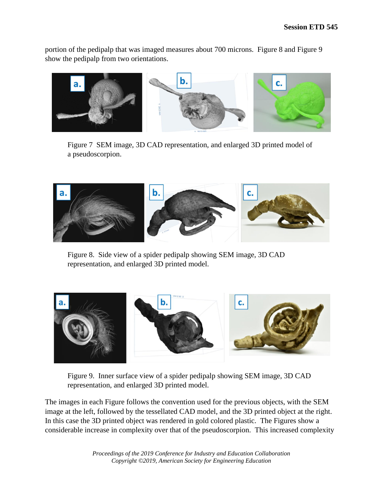portion of the pedipalp that was imaged measures about 700 microns. Figure 8 and Figure 9 show the pedipalp from two orientations.



Figure 7 SEM image, 3D CAD representation, and enlarged 3D printed model of a pseudoscorpion.



Figure 8. Side view of a spider pedipalp showing SEM image, 3D CAD representation, and enlarged 3D printed model.



Figure 9. Inner surface view of a spider pedipalp showing SEM image, 3D CAD representation, and enlarged 3D printed model.

The images in each Figure follows the convention used for the previous objects, with the SEM image at the left, followed by the tessellated CAD model, and the 3D printed object at the right. In this case the 3D printed object was rendered in gold colored plastic. The Figures show a considerable increase in complexity over that of the pseudoscorpion. This increased complexity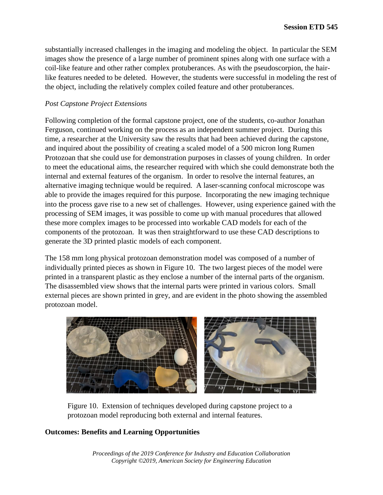substantially increased challenges in the imaging and modeling the object. In particular the SEM images show the presence of a large number of prominent spines along with one surface with a coil-like feature and other rather complex protuberances. As with the pseudoscorpion, the hairlike features needed to be deleted. However, the students were successful in modeling the rest of the object, including the relatively complex coiled feature and other protuberances.

## *Post Capstone Project Extensions*

Following completion of the formal capstone project, one of the students, co-author Jonathan Ferguson, continued working on the process as an independent summer project. During this time, a researcher at the University saw the results that had been achieved during the capstone, and inquired about the possibility of creating a scaled model of a 500 micron long Rumen Protozoan that she could use for demonstration purposes in classes of young children. In order to meet the educational aims, the researcher required with which she could demonstrate both the internal and external features of the organism. In order to resolve the internal features, an alternative imaging technique would be required. A laser-scanning confocal microscope was able to provide the images required for this purpose. Incorporating the new imaging technique into the process gave rise to a new set of challenges. However, using experience gained with the processing of SEM images, it was possible to come up with manual procedures that allowed these more complex images to be processed into workable CAD models for each of the components of the protozoan. It was then straightforward to use these CAD descriptions to generate the 3D printed plastic models of each component.

The 158 mm long physical protozoan demonstration model was composed of a number of individually printed pieces as shown in Figure 10. The two largest pieces of the model were printed in a transparent plastic as they enclose a number of the internal parts of the organism. The disassembled view shows that the internal parts were printed in various colors. Small external pieces are shown printed in grey, and are evident in the photo showing the assembled protozoan model.



Figure 10. Extension of techniques developed during capstone project to a protozoan model reproducing both external and internal features.

# **Outcomes: Benefits and Learning Opportunities**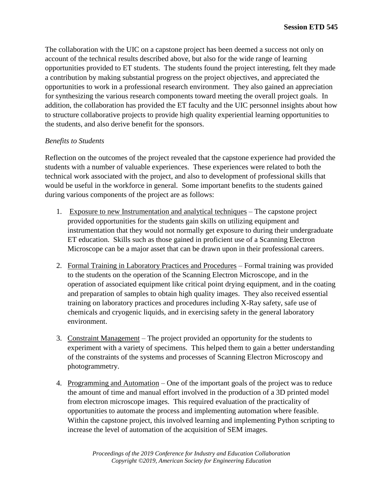The collaboration with the UIC on a capstone project has been deemed a success not only on account of the technical results described above, but also for the wide range of learning opportunities provided to ET students. The students found the project interesting, felt they made a contribution by making substantial progress on the project objectives, and appreciated the opportunities to work in a professional research environment. They also gained an appreciation for synthesizing the various research components toward meeting the overall project goals. In addition, the collaboration has provided the ET faculty and the UIC personnel insights about how to structure collaborative projects to provide high quality experiential learning opportunities to the students, and also derive benefit for the sponsors.

## *Benefits to Students*

Reflection on the outcomes of the project revealed that the capstone experience had provided the students with a number of valuable experiences. These experiences were related to both the technical work associated with the project, and also to development of professional skills that would be useful in the workforce in general. Some important benefits to the students gained during various components of the project are as follows:

- 1. Exposure to new Instrumentation and analytical techniques The capstone project provided opportunities for the students gain skills on utilizing equipment and instrumentation that they would not normally get exposure to during their undergraduate ET education. Skills such as those gained in proficient use of a Scanning Electron Microscope can be a major asset that can be drawn upon in their professional careers.
- 2. Formal Training in Laboratory Practices and Procedures Formal training was provided to the students on the operation of the Scanning Electron Microscope, and in the operation of associated equipment like critical point drying equipment, and in the coating and preparation of samples to obtain high quality images. They also received essential training on laboratory practices and procedures including X-Ray safety, safe use of chemicals and cryogenic liquids, and in exercising safety in the general laboratory environment.
- 3. Constraint Management The project provided an opportunity for the students to experiment with a variety of specimens. This helped them to gain a better understanding of the constraints of the systems and processes of Scanning Electron Microscopy and photogrammetry.
- 4. Programming and Automation One of the important goals of the project was to reduce the amount of time and manual effort involved in the production of a 3D printed model from electron microscope images. This required evaluation of the practicality of opportunities to automate the process and implementing automation where feasible. Within the capstone project, this involved learning and implementing Python scripting to increase the level of automation of the acquisition of SEM images.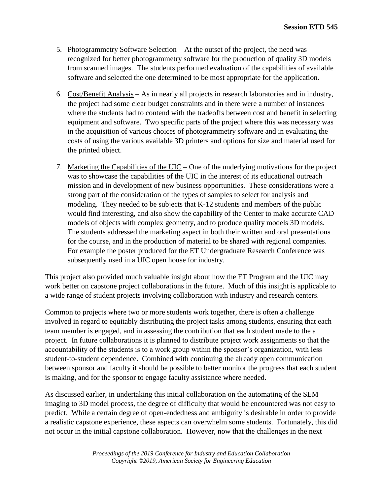- 5. Photogrammetry Software Selection At the outset of the project, the need was recognized for better photogrammetry software for the production of quality 3D models from scanned images. The students performed evaluation of the capabilities of available software and selected the one determined to be most appropriate for the application.
- 6. Cost/Benefit Analysis As in nearly all projects in research laboratories and in industry, the project had some clear budget constraints and in there were a number of instances where the students had to contend with the tradeoffs between cost and benefit in selecting equipment and software. Two specific parts of the project where this was necessary was in the acquisition of various choices of photogrammetry software and in evaluating the costs of using the various available 3D printers and options for size and material used for the printed object.
- 7. Marketing the Capabilities of the UIC One of the underlying motivations for the project was to showcase the capabilities of the UIC in the interest of its educational outreach mission and in development of new business opportunities. These considerations were a strong part of the consideration of the types of samples to select for analysis and modeling. They needed to be subjects that K-12 students and members of the public would find interesting, and also show the capability of the Center to make accurate CAD models of objects with complex geometry, and to produce quality models 3D models. The students addressed the marketing aspect in both their written and oral presentations for the course, and in the production of material to be shared with regional companies. For example the poster produced for the ET Undergraduate Research Conference was subsequently used in a UIC open house for industry.

This project also provided much valuable insight about how the ET Program and the UIC may work better on capstone project collaborations in the future. Much of this insight is applicable to a wide range of student projects involving collaboration with industry and research centers.

Common to projects where two or more students work together, there is often a challenge involved in regard to equitably distributing the project tasks among students, ensuring that each team member is engaged, and in assessing the contribution that each student made to the a project. In future collaborations it is planned to distribute project work assignments so that the accountability of the students is to a work group within the sponsor's organization, with less student-to-student dependence. Combined with continuing the already open communication between sponsor and faculty it should be possible to better monitor the progress that each student is making, and for the sponsor to engage faculty assistance where needed.

As discussed earlier, in undertaking this initial collaboration on the automating of the SEM imaging to 3D model process, the degree of difficulty that would be encountered was not easy to predict. While a certain degree of open-endedness and ambiguity is desirable in order to provide a realistic capstone experience, these aspects can overwhelm some students. Fortunately, this did not occur in the initial capstone collaboration. However, now that the challenges in the next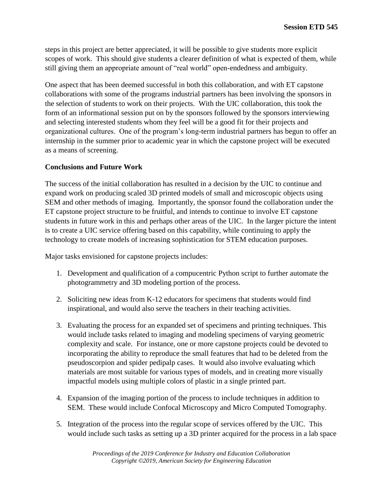steps in this project are better appreciated, it will be possible to give students more explicit scopes of work. This should give students a clearer definition of what is expected of them, while still giving them an appropriate amount of "real world" open-endedness and ambiguity.

One aspect that has been deemed successful in both this collaboration, and with ET capstone collaborations with some of the programs industrial partners has been involving the sponsors in the selection of students to work on their projects. With the UIC collaboration, this took the form of an informational session put on by the sponsors followed by the sponsors interviewing and selecting interested students whom they feel will be a good fit for their projects and organizational cultures. One of the program's long-term industrial partners has begun to offer an internship in the summer prior to academic year in which the capstone project will be executed as a means of screening.

## **Conclusions and Future Work**

The success of the initial collaboration has resulted in a decision by the UIC to continue and expand work on producing scaled 3D printed models of small and microscopic objects using SEM and other methods of imaging. Importantly, the sponsor found the collaboration under the ET capstone project structure to be fruitful, and intends to continue to involve ET capstone students in future work in this and perhaps other areas of the UIC. In the larger picture the intent is to create a UIC service offering based on this capability, while continuing to apply the technology to create models of increasing sophistication for STEM education purposes.

Major tasks envisioned for capstone projects includes:

- 1. Development and qualification of a compucentric Python script to further automate the photogrammetry and 3D modeling portion of the process.
- 2. Soliciting new ideas from K-12 educators for specimens that students would find inspirational, and would also serve the teachers in their teaching activities.
- 3. Evaluating the process for an expanded set of specimens and printing techniques. This would include tasks related to imaging and modeling specimens of varying geometric complexity and scale. For instance, one or more capstone projects could be devoted to incorporating the ability to reproduce the small features that had to be deleted from the pseudoscorpion and spider pedipalp cases. It would also involve evaluating which materials are most suitable for various types of models, and in creating more visually impactful models using multiple colors of plastic in a single printed part.
- 4. Expansion of the imaging portion of the process to include techniques in addition to SEM. These would include Confocal Microscopy and Micro Computed Tomography.
- 5. Integration of the process into the regular scope of services offered by the UIC. This would include such tasks as setting up a 3D printer acquired for the process in a lab space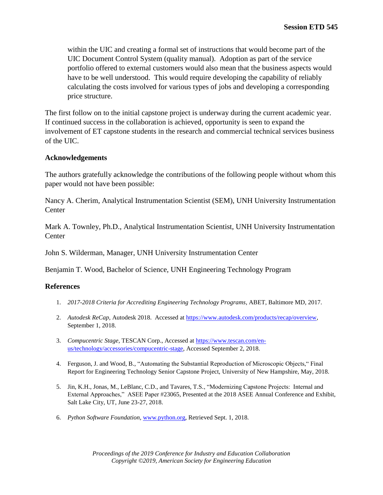within the UIC and creating a formal set of instructions that would become part of the UIC Document Control System (quality manual). Adoption as part of the service portfolio offered to external customers would also mean that the business aspects would have to be well understood. This would require developing the capability of reliably calculating the costs involved for various types of jobs and developing a corresponding price structure.

The first follow on to the initial capstone project is underway during the current academic year. If continued success in the collaboration is achieved, opportunity is seen to expand the involvement of ET capstone students in the research and commercial technical services business of the UIC.

#### **Acknowledgements**

The authors gratefully acknowledge the contributions of the following people without whom this paper would not have been possible:

Nancy A. Cherim, Analytical Instrumentation Scientist (SEM), UNH University Instrumentation **Center** 

Mark A. Townley, Ph.D., Analytical Instrumentation Scientist, UNH University Instrumentation **Center** 

John S. Wilderman, Manager, UNH University Instrumentation Center

Benjamin T. Wood, Bachelor of Science, UNH Engineering Technology Program

#### **References**

- 1. *2017-2018 Criteria for Accrediting Engineering Technology Programs*, ABET, Baltimore MD, 2017.
- 2. *Autodesk ReCap,* Autodesk 2018. Accessed at [https://www.autodesk.com/products/recap/overview,](https://www.autodesk.com/products/recap/overview)  September 1, 2018.
- 3. *Compucentric Stage*, TESCAN Corp., Accessed at [https://www.tescan.com/en](https://www.tescan.com/en-us/technology/accessories/compucentric-stage)[us/technology/accessories/compucentric-stage,](https://www.tescan.com/en-us/technology/accessories/compucentric-stage) Accessed September 2, 2018.
- 4. Ferguson, J. and Wood, B., "Automating the Substantial Reproduction of Microscopic Objects," Final Report for Engineering Technology Senior Capstone Project, University of New Hampshire, May, 2018.
- 5. Jin, K.H., Jonas, M., LeBlanc, C.D., and Tavares, T.S., "Modernizing Capstone Projects: Internal and External Approaches," ASEE Paper #23065, Presented at the 2018 ASEE Annual Conference and Exhibit, Salt Lake City, UT, June 23-27, 2018.
- 6. *Python Software Foundation,* [www.python.org,](http://www.python.org/) Retrieved Sept. 1, 2018.